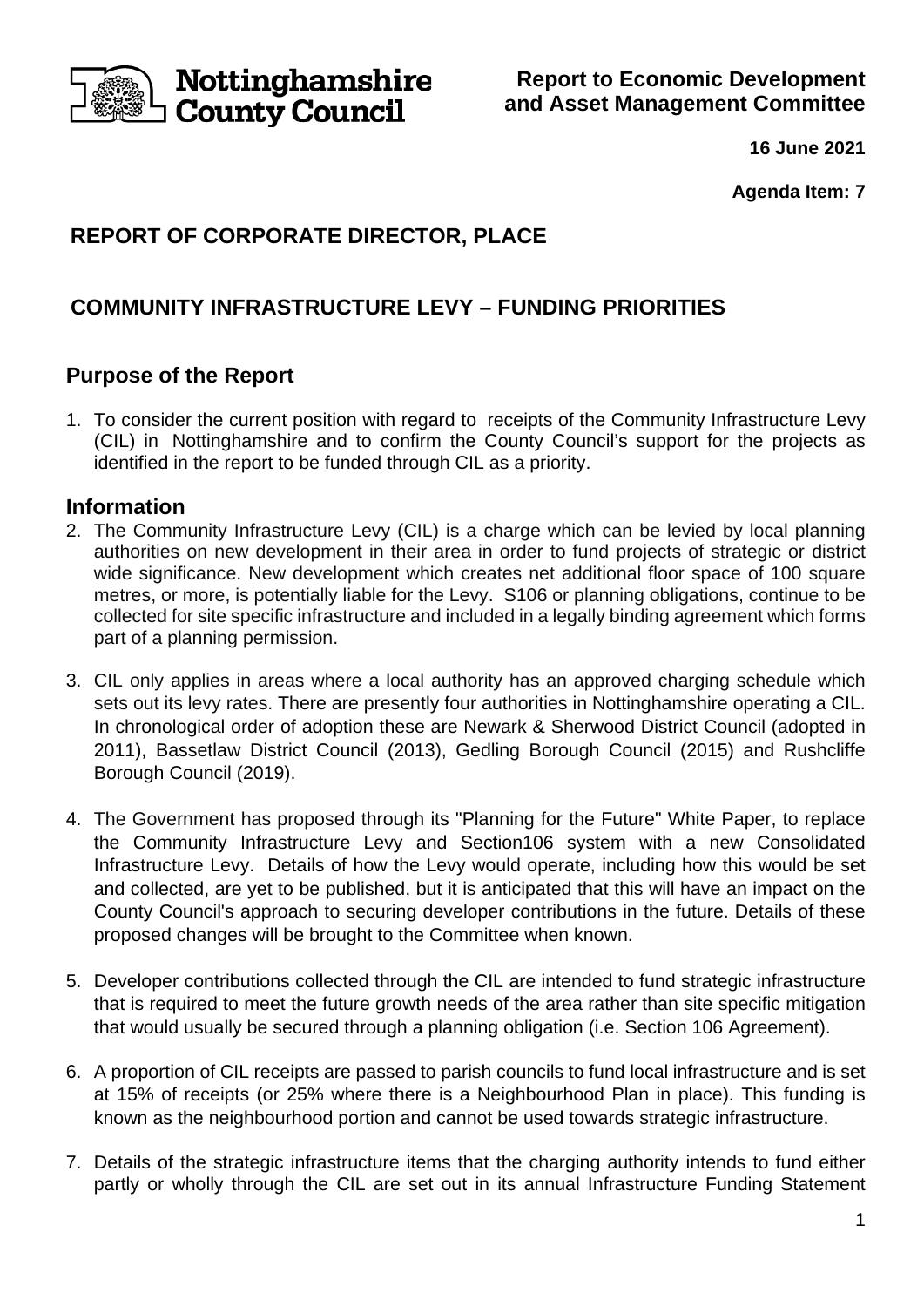

**Report to Economic Development and Asset Management Committee**

**16 June 2021**

**Agenda Item: 7**

# **REPORT OF CORPORATE DIRECTOR, PLACE**

# **COMMUNITY INFRASTRUCTURE LEVY – FUNDING PRIORITIES**

# **Purpose of the Report**

1. To consider the current position with regard to receipts of the Community Infrastructure Levy (CIL) in Nottinghamshire and to confirm the County Council's support for the projects as identified in the report to be funded through CIL as a priority.

## **Information**

- 2. The Community Infrastructure Levy (CIL) is a charge which can be levied by local planning authorities on new development in their area in order to fund projects of strategic or district wide significance. New development which creates net additional floor space of 100 square metres, or more, is potentially liable for the Levy. S106 or planning obligations, continue to be collected for site specific infrastructure and included in a legally binding agreement which forms part of a planning permission.
- 3. CIL only applies in areas where a local authority has an approved charging schedule which sets out its levy rates. There are presently four authorities in Nottinghamshire operating a CIL. In chronological order of adoption these are Newark & Sherwood District Council (adopted in 2011), Bassetlaw District Council (2013), Gedling Borough Council (2015) and Rushcliffe Borough Council (2019).
- 4. The Government has proposed through its "Planning for the Future" White Paper, to replace the Community Infrastructure Levy and Section106 system with a new Consolidated Infrastructure Levy. Details of how the Levy would operate, including how this would be set and collected, are yet to be published, but it is anticipated that this will have an impact on the County Council's approach to securing developer contributions in the future. Details of these proposed changes will be brought to the Committee when known.
- 5. Developer contributions collected through the CIL are intended to fund strategic infrastructure that is required to meet the future growth needs of the area rather than site specific mitigation that would usually be secured through a planning obligation (i.e. Section 106 Agreement).
- 6. A proportion of CIL receipts are passed to parish councils to fund local infrastructure and is set at 15% of receipts (or 25% where there is a Neighbourhood Plan in place). This funding is known as the neighbourhood portion and cannot be used towards strategic infrastructure.
- 7. Details of the strategic infrastructure items that the charging authority intends to fund either partly or wholly through the CIL are set out in its annual Infrastructure Funding Statement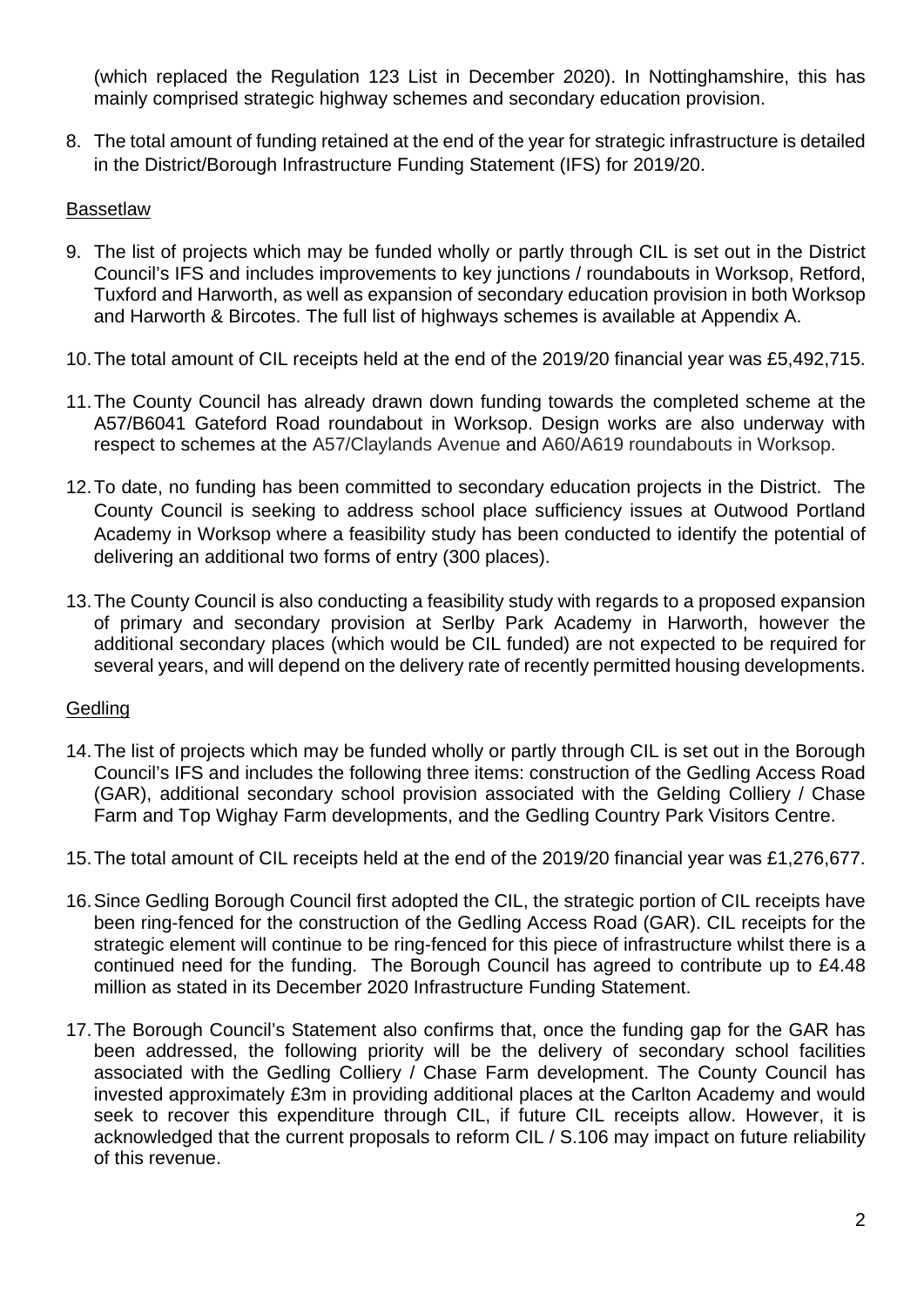(which replaced the Regulation 123 List in December 2020). In Nottinghamshire, this has mainly comprised strategic highway schemes and secondary education provision.

8. The total amount of funding retained at the end of the year for strategic infrastructure is detailed in the District/Borough Infrastructure Funding Statement (IFS) for 2019/20.

### Bassetlaw

- 9. The list of projects which may be funded wholly or partly through CIL is set out in the District Council's IFS and includes improvements to key junctions / roundabouts in Worksop, Retford, Tuxford and Harworth, as well as expansion of secondary education provision in both Worksop and Harworth & Bircotes. The full list of highways schemes is available at Appendix A.
- 10.The total amount of CIL receipts held at the end of the 2019/20 financial year was £5,492,715.
- 11.The County Council has already drawn down funding towards the completed scheme at the A57/B6041 Gateford Road roundabout in Worksop. Design works are also underway with respect to schemes at the A57/Claylands Avenue and A60/A619 roundabouts in Worksop.
- 12.To date, no funding has been committed to secondary education projects in the District. The County Council is seeking to address school place sufficiency issues at Outwood Portland Academy in Worksop where a feasibility study has been conducted to identify the potential of delivering an additional two forms of entry (300 places).
- 13.The County Council is also conducting a feasibility study with regards to a proposed expansion of primary and secondary provision at Serlby Park Academy in Harworth, however the additional secondary places (which would be CIL funded) are not expected to be required for several years, and will depend on the delivery rate of recently permitted housing developments.

### **Gedling**

- 14.The list of projects which may be funded wholly or partly through CIL is set out in the Borough Council's IFS and includes the following three items: construction of the Gedling Access Road (GAR), additional secondary school provision associated with the Gelding Colliery / Chase Farm and Top Wighay Farm developments, and the Gedling Country Park Visitors Centre.
- 15.The total amount of CIL receipts held at the end of the 2019/20 financial year was £1,276,677.
- 16.Since Gedling Borough Council first adopted the CIL, the strategic portion of CIL receipts have been ring-fenced for the construction of the Gedling Access Road (GAR). CIL receipts for the strategic element will continue to be ring-fenced for this piece of infrastructure whilst there is a continued need for the funding. The Borough Council has agreed to contribute up to £4.48 million as stated in its December 2020 Infrastructure Funding Statement.
- 17.The Borough Council's Statement also confirms that, once the funding gap for the GAR has been addressed, the following priority will be the delivery of secondary school facilities associated with the Gedling Colliery / Chase Farm development. The County Council has invested approximately £3m in providing additional places at the Carlton Academy and would seek to recover this expenditure through CIL, if future CIL receipts allow. However, it is acknowledged that the current proposals to reform CIL / S.106 may impact on future reliability of this revenue.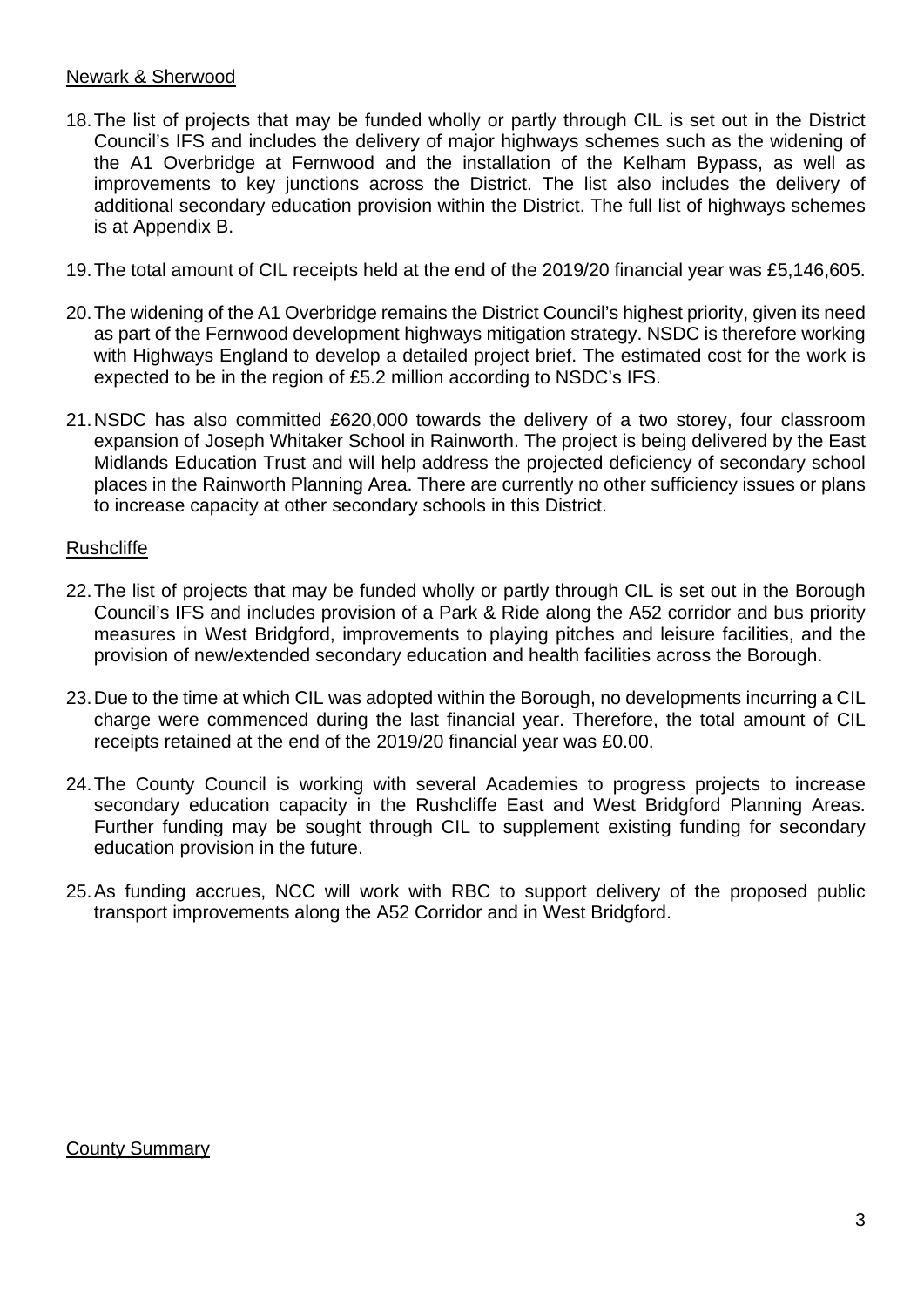### Newark & Sherwood

- 18.The list of projects that may be funded wholly or partly through CIL is set out in the District Council's IFS and includes the delivery of major highways schemes such as the widening of the A1 Overbridge at Fernwood and the installation of the Kelham Bypass, as well as improvements to key junctions across the District. The list also includes the delivery of additional secondary education provision within the District. The full list of highways schemes is at Appendix B.
- 19.The total amount of CIL receipts held at the end of the 2019/20 financial year was £5,146,605.
- 20.The widening of the A1 Overbridge remains the District Council's highest priority, given its need as part of the Fernwood development highways mitigation strategy. NSDC is therefore working with Highways England to develop a detailed project brief. The estimated cost for the work is expected to be in the region of £5.2 million according to NSDC's IFS.
- 21.NSDC has also committed £620,000 towards the delivery of a two storey, four classroom expansion of Joseph Whitaker School in Rainworth. The project is being delivered by the East Midlands Education Trust and will help address the projected deficiency of secondary school places in the Rainworth Planning Area. There are currently no other sufficiency issues or plans to increase capacity at other secondary schools in this District.

#### Rushcliffe

- 22.The list of projects that may be funded wholly or partly through CIL is set out in the Borough Council's IFS and includes provision of a Park & Ride along the A52 corridor and bus priority measures in West Bridgford, improvements to playing pitches and leisure facilities, and the provision of new/extended secondary education and health facilities across the Borough.
- 23.Due to the time at which CIL was adopted within the Borough, no developments incurring a CIL charge were commenced during the last financial year. Therefore, the total amount of CIL receipts retained at the end of the 2019/20 financial year was £0.00.
- 24.The County Council is working with several Academies to progress projects to increase secondary education capacity in the Rushcliffe East and West Bridgford Planning Areas. Further funding may be sought through CIL to supplement existing funding for secondary education provision in the future.
- 25.As funding accrues, NCC will work with RBC to support delivery of the proposed public transport improvements along the A52 Corridor and in West Bridgford.

### County Summary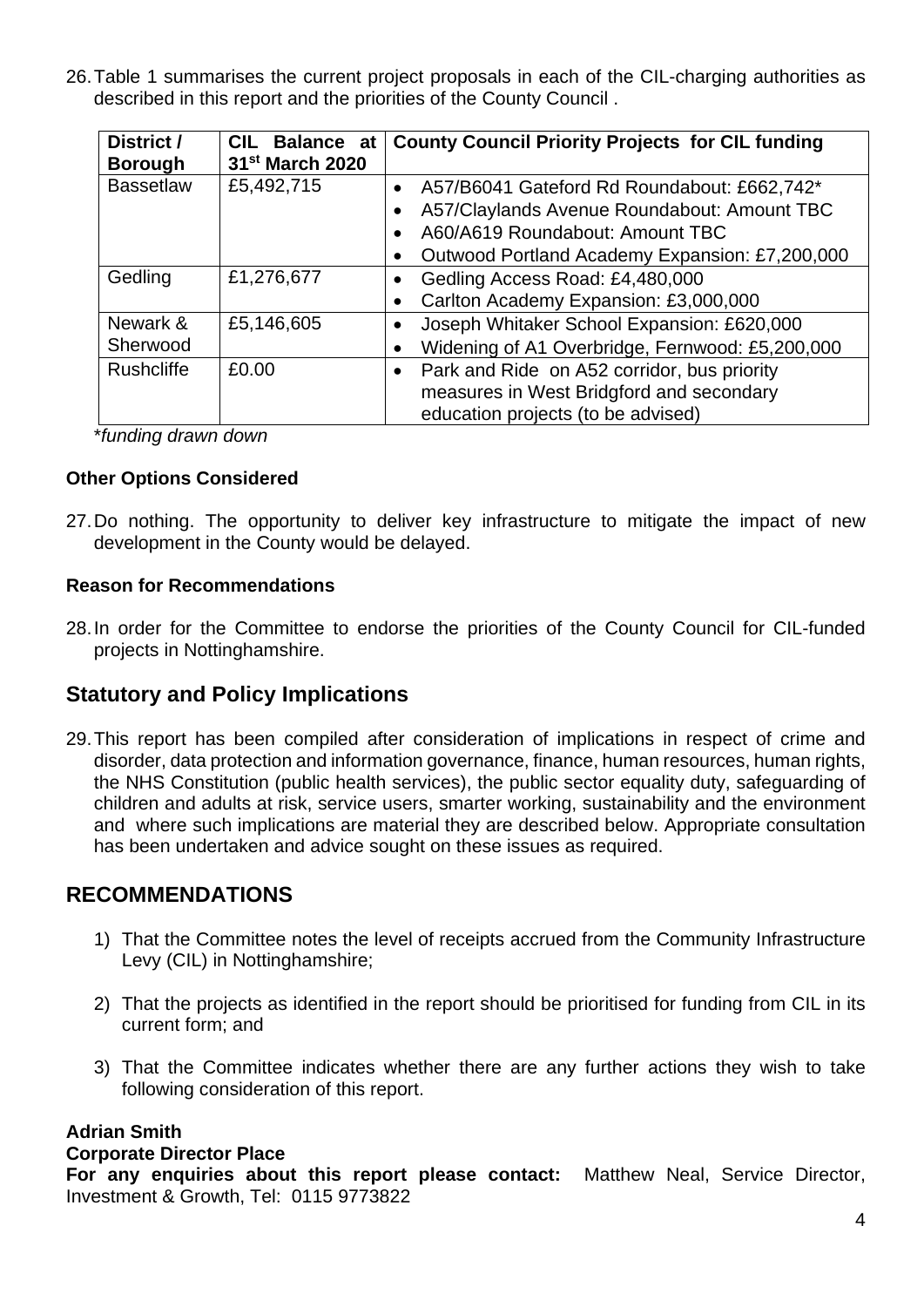26.Table 1 summarises the current project proposals in each of the CIL-charging authorities as described in this report and the priorities of the County Council .

| District /<br><b>Borough</b> | <b>CIL</b><br><b>Balance at</b><br>31 <sup>st</sup> March 2020 | <b>County Council Priority Projects for CIL funding</b>                                                                                                                         |
|------------------------------|----------------------------------------------------------------|---------------------------------------------------------------------------------------------------------------------------------------------------------------------------------|
| <b>Bassetlaw</b>             | £5,492,715                                                     | A57/B6041 Gateford Rd Roundabout: £662,742*<br>A57/Claylands Avenue Roundabout: Amount TBC<br>A60/A619 Roundabout: Amount TBC<br>Outwood Portland Academy Expansion: £7,200,000 |
| Gedling                      | £1,276,677                                                     | Gedling Access Road: £4,480,000<br>Carlton Academy Expansion: £3,000,000                                                                                                        |
| Newark &<br>Sherwood         | £5,146,605                                                     | Joseph Whitaker School Expansion: £620,000<br>Widening of A1 Overbridge, Fernwood: £5,200,000                                                                                   |
| <b>Rushcliffe</b>            | £0.00                                                          | Park and Ride on A52 corridor, bus priority<br>measures in West Bridgford and secondary<br>education projects (to be advised)                                                   |

\**funding drawn down*

### **Other Options Considered**

27.Do nothing. The opportunity to deliver key infrastructure to mitigate the impact of new development in the County would be delayed.

#### **Reason for Recommendations**

28.In order for the Committee to endorse the priorities of the County Council for CIL-funded projects in Nottinghamshire.

## **Statutory and Policy Implications**

29.This report has been compiled after consideration of implications in respect of crime and disorder, data protection and information governance, finance, human resources, human rights, the NHS Constitution (public health services), the public sector equality duty, safeguarding of children and adults at risk, service users, smarter working, sustainability and the environment and where such implications are material they are described below. Appropriate consultation has been undertaken and advice sought on these issues as required.

## **RECOMMENDATIONS**

- 1) That the Committee notes the level of receipts accrued from the Community Infrastructure Levy (CIL) in Nottinghamshire;
- 2) That the projects as identified in the report should be prioritised for funding from CIL in its current form; and
- 3) That the Committee indicates whether there are any further actions they wish to take following consideration of this report.

### **Adrian Smith**

#### **Corporate Director Place**

**For any enquiries about this report please contact:** Matthew Neal, Service Director, Investment & Growth, Tel: 0115 9773822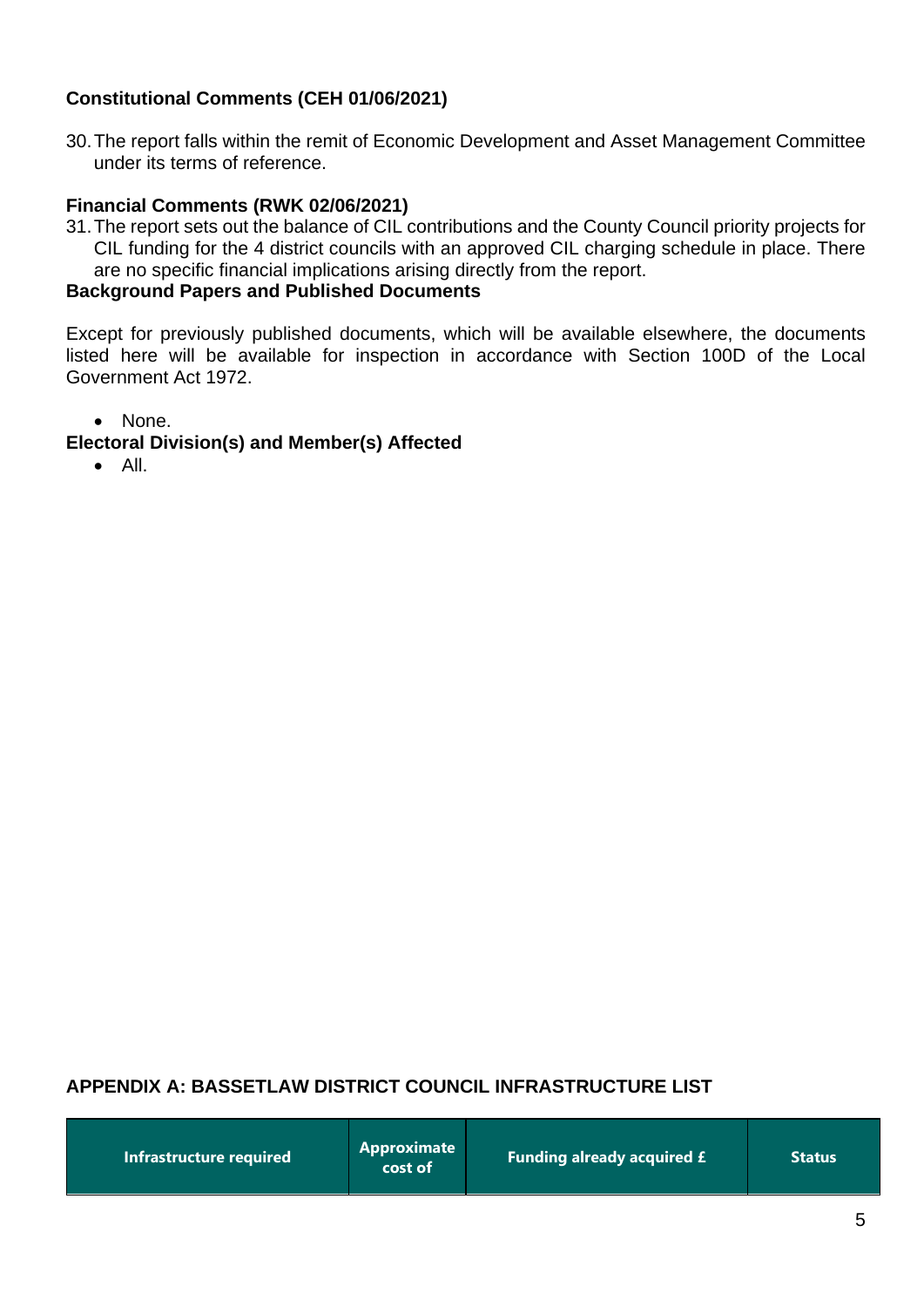## **Constitutional Comments (CEH 01/06/2021)**

30.The report falls within the remit of Economic Development and Asset Management Committee under its terms of reference.

### **Financial Comments (RWK 02/06/2021)**

31.The report sets out the balance of CIL contributions and the County Council priority projects for CIL funding for the 4 district councils with an approved CIL charging schedule in place. There are no specific financial implications arising directly from the report.

### **Background Papers and Published Documents**

Except for previously published documents, which will be available elsewhere, the documents listed here will be available for inspection in accordance with Section 100D of the Local Government Act 1972.

• None.

## **Electoral Division(s) and Member(s) Affected**

• All.

### **APPENDIX A: BASSETLAW DISTRICT COUNCIL INFRASTRUCTURE LIST**

| Infrastructure required | Approximate<br>cost of | <b>Funding already acquired £</b> | <b>Status</b> |
|-------------------------|------------------------|-----------------------------------|---------------|
|-------------------------|------------------------|-----------------------------------|---------------|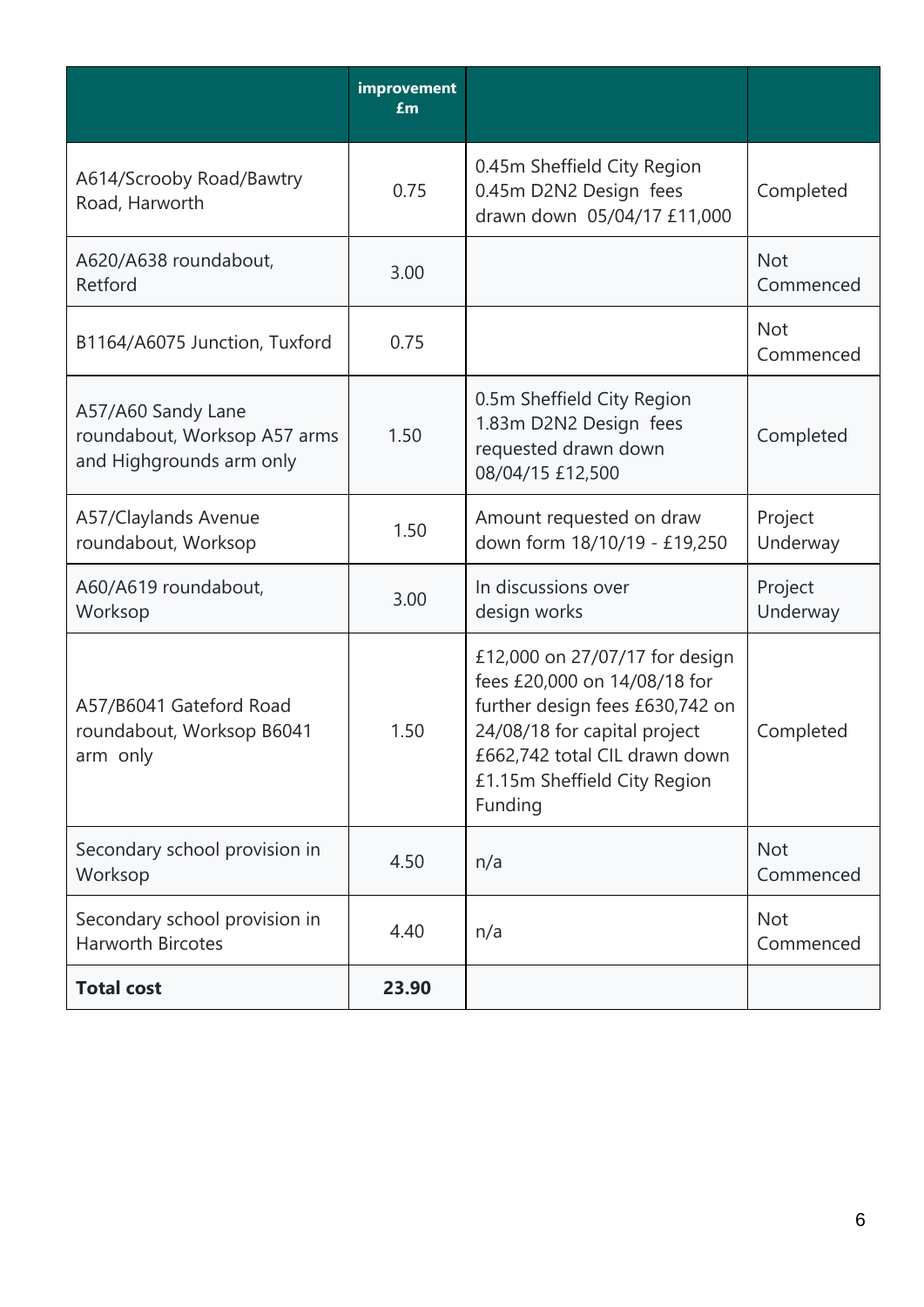|                                                                                | improvement<br>£m |                                                                                                                                                                                                               |                         |
|--------------------------------------------------------------------------------|-------------------|---------------------------------------------------------------------------------------------------------------------------------------------------------------------------------------------------------------|-------------------------|
| A614/Scrooby Road/Bawtry<br>Road, Harworth                                     | 0.75              | 0.45m Sheffield City Region<br>0.45m D2N2 Design fees<br>drawn down 05/04/17 £11,000                                                                                                                          | Completed               |
| A620/A638 roundabout,<br>Retford                                               | 3.00              |                                                                                                                                                                                                               | <b>Not</b><br>Commenced |
| B1164/A6075 Junction, Tuxford                                                  | 0.75              |                                                                                                                                                                                                               | Not<br>Commenced        |
| A57/A60 Sandy Lane<br>roundabout, Worksop A57 arms<br>and Highgrounds arm only | 1.50              | 0.5m Sheffield City Region<br>1.83m D2N2 Design fees<br>requested drawn down<br>08/04/15 £12,500                                                                                                              | Completed               |
| A57/Claylands Avenue<br>roundabout, Worksop                                    | 1.50              | Amount requested on draw<br>down form 18/10/19 - £19,250                                                                                                                                                      | Project<br>Underway     |
| A60/A619 roundabout,<br>Worksop                                                | 3.00              | In discussions over<br>design works                                                                                                                                                                           | Project<br>Underway     |
| A57/B6041 Gateford Road<br>roundabout, Worksop B6041<br>arm only               | 1.50              | £12,000 on 27/07/17 for design<br>fees £20,000 on 14/08/18 for<br>further design fees £630,742 on<br>24/08/18 for capital project<br>£662,742 total CIL drawn down<br>£1.15m Sheffield City Region<br>Funding | Completed               |
| Secondary school provision in<br>Worksop                                       | 4.50              | n/a                                                                                                                                                                                                           | <b>Not</b><br>Commenced |
| Secondary school provision in<br><b>Harworth Bircotes</b>                      | 4.40              | n/a                                                                                                                                                                                                           | <b>Not</b><br>Commenced |
| <b>Total cost</b>                                                              | 23.90             |                                                                                                                                                                                                               |                         |